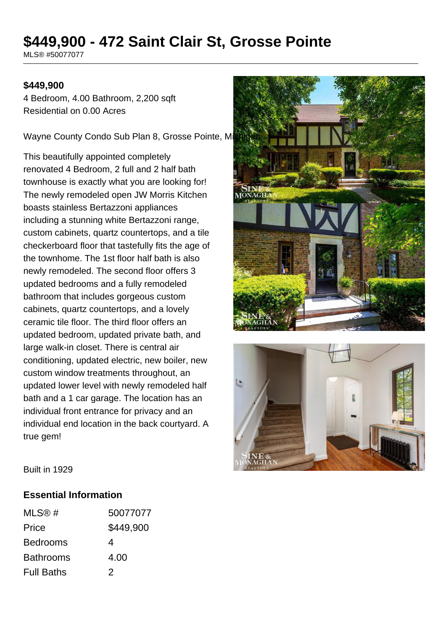# **\$449,900 - 472 Saint Clair St, Grosse Pointe**

MLS® #50077077

#### **\$449,900**

4 Bedroom, 4.00 Bathroom, 2,200 sqft Residential on 0.00 Acres

Wayne County Condo Sub Plan 8, Grosse Pointe, Mi

This beautifully appointed completely renovated 4 Bedroom, 2 full and 2 half bath townhouse is exactly what you are looking for! The newly remodeled open JW Morris Kitchen boasts stainless Bertazzoni appliances including a stunning white Bertazzoni range, custom cabinets, quartz countertops, and a tile checkerboard floor that tastefully fits the age of the townhome. The 1st floor half bath is also newly remodeled. The second floor offers 3 updated bedrooms and a fully remodeled bathroom that includes gorgeous custom cabinets, quartz countertops, and a lovely ceramic tile floor. The third floor offers an updated bedroom, updated private bath, and large walk-in closet. There is central air conditioning, updated electric, new boiler, new custom window treatments throughout, an updated lower level with newly remodeled half bath and a 1 car garage. The location has an individual front entrance for privacy and an individual end location in the back courtyard. A true gem!





Built in 1929

#### **Essential Information**

| MLS@#             | 50077077  |
|-------------------|-----------|
| Price             | \$449,900 |
| <b>Bedrooms</b>   | 4         |
| <b>Bathrooms</b>  | 4.00      |
| <b>Full Baths</b> | 2         |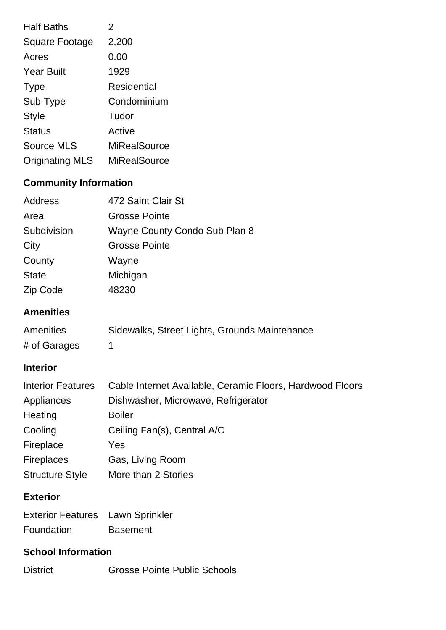| <b>Half Baths</b>      | $\mathfrak{p}$ |
|------------------------|----------------|
| <b>Square Footage</b>  | 2,200          |
| Acres                  | 0.00           |
| <b>Year Built</b>      | 1929           |
| <b>Type</b>            | Residential    |
| Sub-Type               | Condominium    |
| Style                  | Tudor          |
| <b>Status</b>          | Active         |
| <b>Source MLS</b>      | MiRealSource   |
| <b>Originating MLS</b> | MiRealSource   |

## **Community Information**

| Address      | 472 Saint Clair St            |
|--------------|-------------------------------|
| Area         | <b>Grosse Pointe</b>          |
| Subdivision  | Wayne County Condo Sub Plan 8 |
| City         | <b>Grosse Pointe</b>          |
| County       | Wayne                         |
| <b>State</b> | Michigan                      |
| Zip Code     | 48230                         |

#### **Amenities**

| <b>Amenities</b> | Sidewalks, Street Lights, Grounds Maintenance |
|------------------|-----------------------------------------------|
| # of Garages     |                                               |

## **Interior**

| <b>Interior Features</b> | Cable Internet Available, Ceramic Floors, Hardwood Floors |
|--------------------------|-----------------------------------------------------------|
| Appliances               | Dishwasher, Microwave, Refrigerator                       |
| Heating                  | <b>Boiler</b>                                             |
| Cooling                  | Ceiling Fan(s), Central A/C                               |
| Fireplace                | Yes                                                       |
| <b>Fireplaces</b>        | Gas, Living Room                                          |
| <b>Structure Style</b>   | More than 2 Stories                                       |

## **Exterior**

| <b>Exterior Features</b> Lawn Sprinkler |                 |
|-----------------------------------------|-----------------|
| Foundation                              | <b>Basement</b> |

## **School Information**

District Grosse Pointe Public Schools